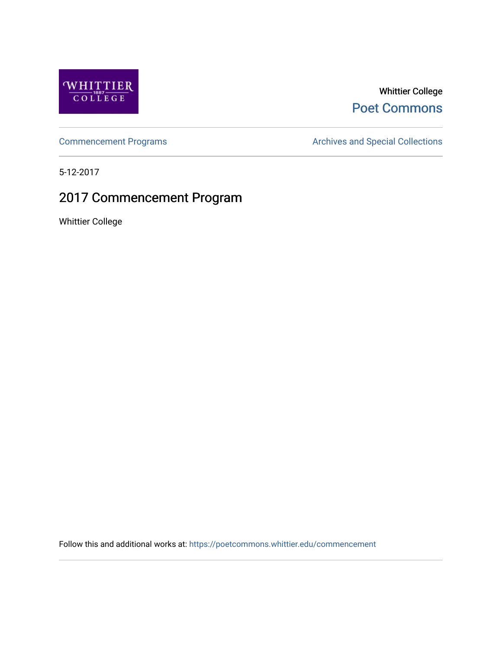

## Whittier College [Poet Commons](https://poetcommons.whittier.edu/)

[Commencement Programs](https://poetcommons.whittier.edu/commencement) **Archives and Special Collections** Archives and Special Collections

5-12-2017

## 2017 Commencement Program

Whittier College

Follow this and additional works at: [https://poetcommons.whittier.edu/commencement](https://poetcommons.whittier.edu/commencement?utm_source=poetcommons.whittier.edu%2Fcommencement%2F81&utm_medium=PDF&utm_campaign=PDFCoverPages)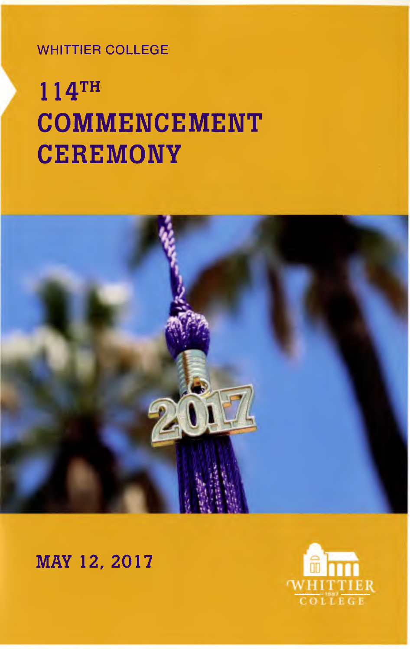WHITTIER COLLEGE

# **114TH COMMENCEMENT CEREMONY**



MAY 12, 2017

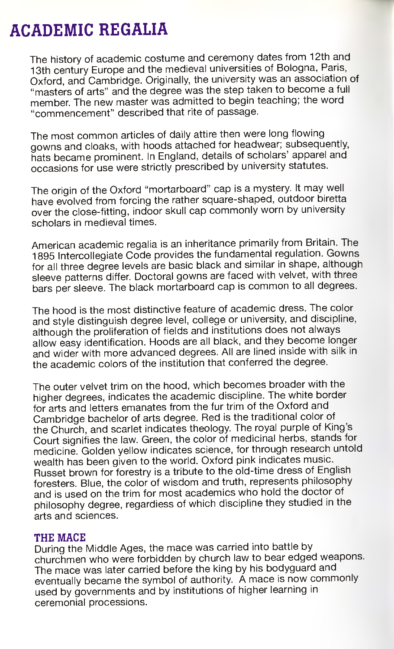## **ACADEMIC REGALIA**

The history of academic costume and ceremony dates from 12th and 13th century Europe and the medieval universities of Bologna, Paris, Oxford, and Cambridge. Originally, the university was an association of "masters of arts" and the degree was the step taken to become a full member. The new master was admitted to begin teaching; the word "commencement" described that rite of passage.

The most common articles of daily attire then were long flowing gowns and cloaks, with hoods attached for headwear; subsequently, hats became prominent. In England, details of scholars' apparel and occasions for use were strictly prescribed by university statutes.

The origin of the Oxford "mortarboard" cap is a mystery. It may well have evolved from forcing the rather square-shaped, outdoor biretta over the close-fitting, indoor skull cap commonly worn by university scholars in medieval times.

American academic regalia is an inheritance primarily from Britain. The 1895 Intercollegiate Code provides the fundamental regulation. Gowns for all three degree levels are basic black and similar in shape, although sleeve patterns differ. Doctoral gowns are faced with velvet, with three bars per sleeve. The black mortarboard cap is common to all degrees.

The hood is the most distinctive feature of academic dress. The color and style distinguish degree level, college or university, and discipline, although the proliferation of fields and institutions does not always allow easy identification. Hoods are all black, and they become longer and wider with more advanced degrees. All are lined inside with silk in the academic colors of the institution that conferred the degree.

The outer velvet trim on the hood, which becomes broader with the higher degrees, indicates the academic discipline. The white border for arts and letters emanates from the fur trim of the Oxford and Cambridge bachelor of arts degree. Red is the traditional color of the Church, and scarlet indicates theology. The royal purple of King's Court signifies the law. Green, the color of medicinal herbs, stands for medicine. Golden yellow indicates science, for through research untold wealth has been given to the world. Oxford pink indicates music. Russet brown for forestry is a tribute to the old-time dress of English foresters. Blue, the color of wisdom and truth, represents philosophy and is used on the trim for most academics who hold the doctor of philosophy degree, regardiess of which discipline they studied in the arts and sciences.

#### **THE MACE**

During the Middle Ages, the mace was carried into battle by churchmen who were forbidden by church law to bear edged weapons. The mace was later carried before the king by his bodyguard and eventually became the symbol of authority. A mace is now commonly used by governments and by institutions of higher learning in ceremonial processions.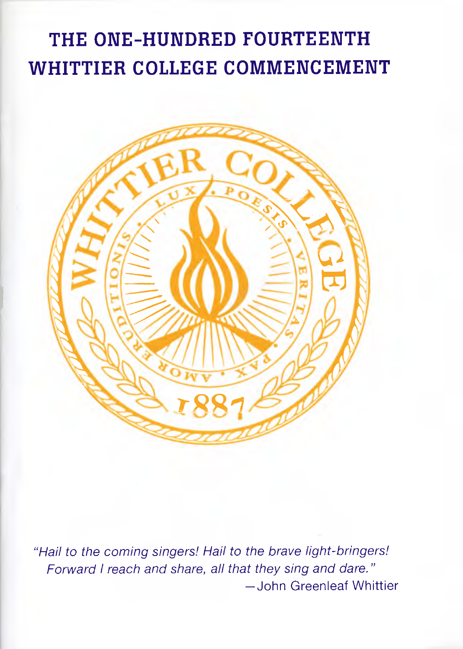## **THE ONE-HUNDRED FOURTEENTH WHITTIER COLLEGE COMMENCEMENT**



"Hail to the coming singers! Hail to the brave light-bringers! Forward I reach and share, all that they sing and dare." —John Greenleaf Whittier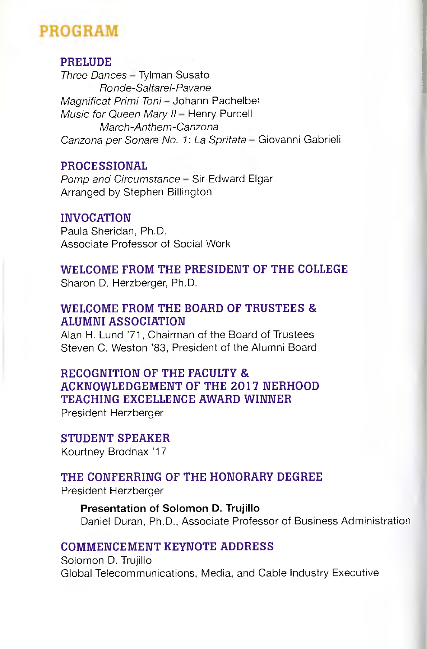## **PROGRAM**

#### PRELUDE

Three Dances - Tylman Susato Ronde-Saltarel-Pavane Magnificat Primi Toni - Johann Pachelbel Music for Queen Mary II - Henry Purcell March-Anthem-Canzona Canzona per Sonare No. 1: La Spritata - Giovanni Gabrieli

#### PROCESSIONAL

Pomp and Circumstance - Sir Edward Elgar Arranged by Stephen Billington

#### **INVOCATION**

Paula Sheridan, Ph.D. Associate Professor of Social Work

#### WELCOME FROM THE PRESIDENT OF THE COLLEGE

Sharon D. Herzberger, Ph.D.

#### **WELCOME FROM THE BOARD OF TRUSTEES & ALUMNI ASSOCIATION**

Alan H. Lund '71, Chairman of the Board of Trustees Steven C. Weston '83, President of the Alumni Board

#### **RECOGNITION OF THE FACULTY** & ACKNOWLEDGEMENT OF THE 2017 NERHOOD TEACHING EXCELLENCE AWARD WINNER

President Herzberger

#### STUDENT SPEAKER

Kourtney Brodnax '17

#### THE CONFERRING OF THE HONORARY DEGREE

President Herzberger

**Presentation of Solomon D. Trujillo**  Daniel Duran, Ph.D., Associate Professor of Business Administration

#### COMMENCEMENT KEYNOTE ADDRESS

Solomon D. Trujillo Global Telecommunications, Media, and Cable Industry Executive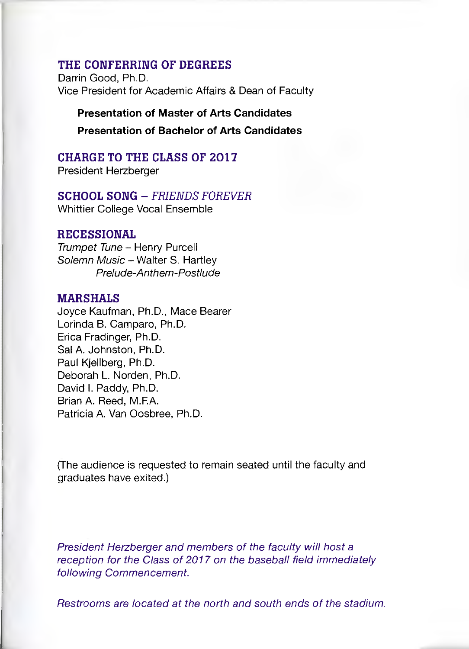#### **THE CONFERRING OF DEGREES**

Darrin Good, Ph.D. Vice President for Academic Affairs & Dean of Faculty

**Presentation of Master of Arts Candidates Presentation of Bachelor of Arts Candidates** 

#### **CHARGE TO THE CLASS OF 2017**

President Herzberger

#### **SCHOOL SONG** - FRIENDS FOREVER Whittier College Vocal Ensemble

#### **RECESSIONAL**

Trumpet Tune - Henry Purcell Solemn Music - Walter S. Hartley Prelude-Anthem-Postlude

#### **MARSHALS**

Joyce Kaufman, Ph.D., Mace Bearer Lorinda B. Camparo, Ph.D. Erica Fradinger, Ph.D. Sal A. Johnston, Ph.D. Paul Kjellberg, Ph.D. Deborah L. Norden, Ph.D. David I. Paddy, Ph.D. Brian A. Reed, M.F.A. Patricia A. Van Oosbree, Ph.D.

(The audience is requested to remain seated until the faculty and graduates have exited.)

President Herzberger and members of the faculty will host a reception for the Class of 2017 on the baseball field immediately following Commencement.

Restrooms are located at the north and south ends of the stadium.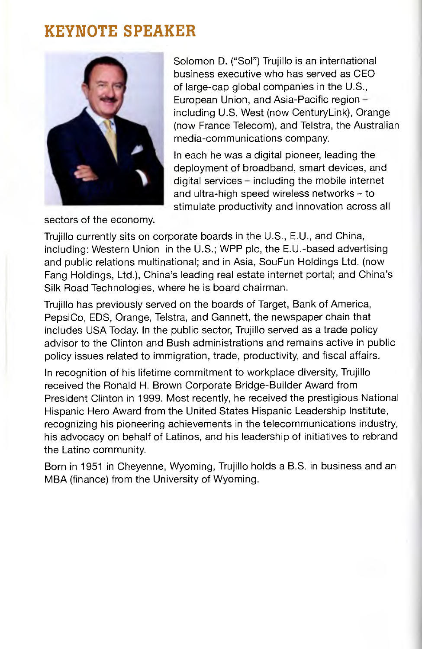## **KEYNOTE SPEAKER**



Solomon D. ("Sol") Trujillo is an international business executive who has served as CEO of large-cap global companies in the U.S., European Union, and Asia-Pacific region including U.S. West (now CenturyLink), Orange (now France Telecom), and Telstra, the Australian media-communications company.

In each he was a digital pioneer, leading the deployment of broadband, smart devices, and digital services – including the mobile internet and ultra-high speed wireless networks  $-$  to stimulate productivity and innovation across all

sectors of the economy.

Trujillo currently sits on corporate boards in the U.S., E.U., and China, including: Western Union in the U.S.; WPP plc, the E.U.-based advertising and public relations multinational; and in Asia, SouFun Holdings Ltd. (now Fang Holdings, Ltd.), China's leading real estate internet portal; and China's Silk Road Technologies, where he is board chairman.

Trujillo has previously served on the boards of Target, Bank of America, PepsiCo, EDS, Orange, Telstra, and Gannett, the newspaper chain that includes USA Today. In the public sector, Trujillo served as a trade policy advisor to the Clinton and Bush administrations and remains active in public policy issues related to immigration, trade, productivity, and fiscal affairs.

In recognition of his lifetime commitment to workplace diversity, Trujillo received the Ronald H. Brown Corporate Bridge-Builder Award from President Clinton in 1999. Most recently, he received the prestigious National Hispanic Hero Award from the United States Hispanic Leadership Institute, recognizing his pioneering achievements in the telecommunications industry, his advocacy on behalf of Latinos, and his leadership of initiatives to rebrand the Latino community.

Born in 1951 in Cheyenne, Wyoming, Trujillo holds a B.S. in business and an MBA (finance) from the University of Wyoming.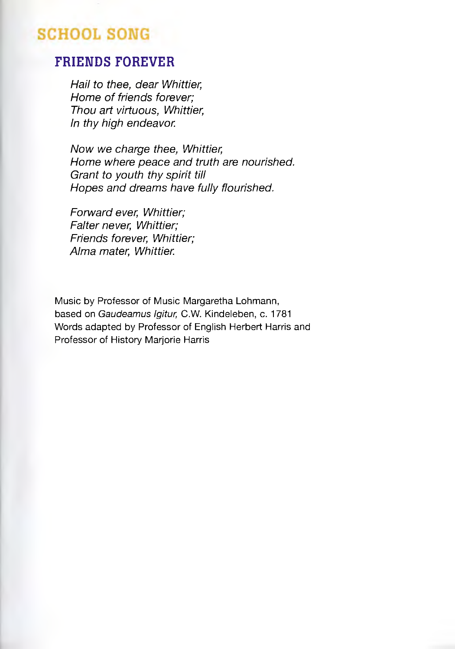## **SCHOOL SONG**

### **FRIENDS FOREVER**

Hail to thee, dear Whittier, Home of friends forever; Thou art virtuous, Whittier, In thy high endeavor

Now we charge thee, Whittier; Home where peace and truth are nourished. Grant to youth thy spirit till Hopes and dreams have fully flourished.

Forward ever; Whittier; Falter never; Whittier; Friends forever, Whittier; Alma mater, Whittier

Music by Professor of Music Margaretha Lohmann, based on Gaudeamus Igitur, C.W. Kindeleben, c. 1781 Words adapted by Professor of English Herbert Harris and Professor of History Marjorie Harris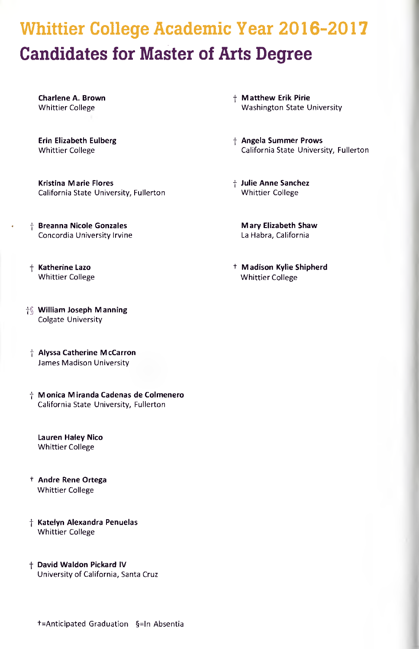## **Whittier College Academic Year 2016-2017 Candidates for Master of Arts Degree**

**Kristina Marie Flores Figure 2018 Research 11 anne Sanchez** (alifornia State University, Fullerton **California State University, Fullerton** California State University, Fullerton

- t **Breanna Nicole Gonzales Mary Elizabeth Shaw Mary Elizabeth Shaw<br>Concordia University Irvine Mary California** Concordia University Irvine
	-
- $\dagger$  **William Joseph Manning** Colgate University
	- t **Alyssa Catherine McCarron**  James Madison University
	- t Monica Miranda **Cadenas de Colmenero**  California State University, Fullerton
		- **Lauren** Haley Nico Whittier College
	- t **Andre Rene Ortega**  Whittier College
- t Katelyn Alexandra Penuelas Whittier College
- t David Waldon Pickard IV University of California, Santa Cruz
- **Charlene A. Brown**  the Matthew Erik Pirie Whittier College Whittier College Washington State University
- **Erin Elizabeth Eulberg Summer Prows**<br>
Whittier College **California** State Univers California State University, Fullerton
	- -
- **I- Katherine Lazo t Madison Kylie Shipherd**  Whittier College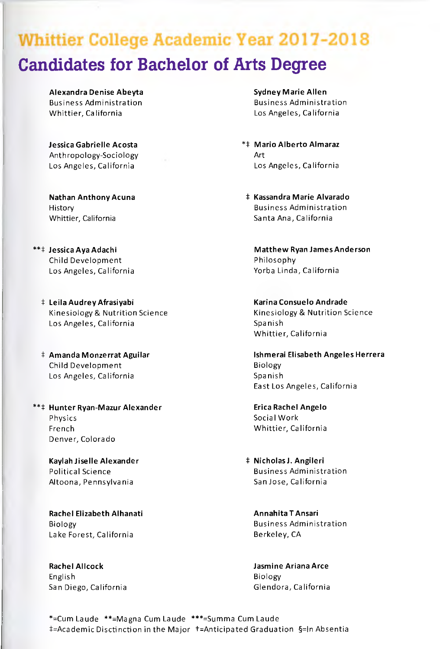## **Whittier College Academic Year 2017-2018 Candidates for Bachelor of Arts Degree**

Alexandra Denise Abeyta Business Administration Whittier, California

Jessica Gabrielle Acosta Anthropology-sociology Los Angeles, California

Nathan Anthony Acuna History Whittier, California

\*\*‡ Jessica Ava Adachi Child Development Los Angeles, California

1 Leila Audrey Afrasiyabi Kinesiology& Nutrition Science Los Angeles, California

t Amanda Monzerrat Aguilar Child Development Los Angeles, California

\*\*\* Hunter Ryan-Mazur Alexander Physics French Denver, Colorado

> Kaylah Jiselle Alexander Political Science Altoona, Pennsylvania

Rachel Elizabeth Alhanati Biology Lake Forest, California

English Biology

Sydney Marie Allen Business Administration Los Angeles, California

Mario Alberto Almaraz Art Los Angeles, California

Kassandra Marie Alvarado Business Administration Santa Ana, California

Matthew Ryan James Anderson Philosophy Yorba Linda, California

Karina Consuelo Andrade Kinesiology & Nutrition Science Spanish Whittier, California

lshmerai Elisabeth Angeles Herrera Biology Spanish East Los Angeles, California

Erica Rachel Angelo Social Work Whittier, California

1 NicholasJ. Angileri Business Administration San Jose, California

Annahita T Ansari Business Administration Berkeley, CA

Rachel Allcock Jasmine Ariana Arce San Diego, California Glendora, California

\*=Cum Laude \*\*=Magna Cum Laude \*\*\*=Summa Cum Laude =Academic Disctinction in the Major t=Anticipated Graduation §=ln Absentia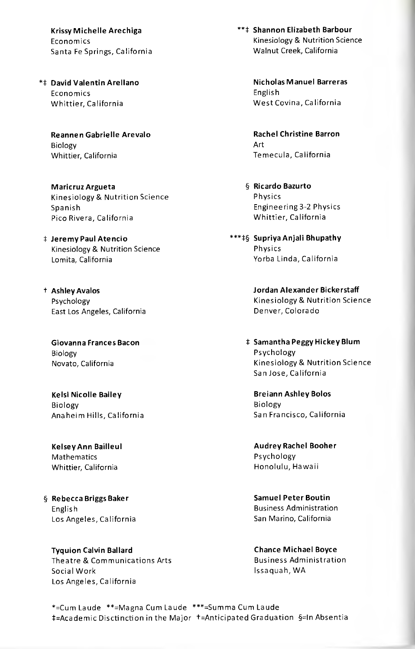Santa Fe Springs, California

David Valentin Arellano Economics Whittier, California

> Reannen Gabrielle Arevalo Biology Whittier, California

Maricruz Argueta Kinesiology & Nutrition Science Spanish Pico Rivera, California

Jeremy Paul Atencio Kinesiology & Nutrition Science Lomita, California

t Ashley Avalos Psychology East Los Angeles, California

Giovanna Frances Bacon Biology Novato, California

Kelsi Nicolle Bailey Biology Anaheim Hills, California

Kelsey Ann Bailleul **Mathematics** Whittier, California

§ Rebecca Briggs Baker English Los Angeles, California

Tyquion Calvin Ballard Chance Michael Boyce Theatre & Communications Arts **Business Administration** Social Work **Issaquah, WA** Los Angeles, California

Krissy Michelle Arechiga **\*\*\*** \$hannon Elizabeth Barbour Economics<br>
Santa Fe Springs. California<br>
Santa Fe Springs. California

> Nicholas Manuel Barreras English West Covina, California

Rachel Christine Barron Art Temecula, California

§ Ricardo Bazurto Physics Engineering 3-2 Physics Whittier, California

**SupriyaAnjali Bhupathy**  Physics Yorba Linda, California

> Jordan Alexander Bickerstaff Kinesiology& Nutrition Science Denver, Colorado

1 Samantha Peggy Hickey Blum Psychology Kinesiology & Nutrition Science San Jose, California

Breiann Ashley Bolos Biology San Francisco, California

Audrey Rachel Booher Psychology Honolulu, Hawaii

Samuel Peter Boutin Business Administration San Marino, California

\*=Cum Laude \*\*=Magna Cum Laude \*\*\*Summa Cum Laude t=Academic Disctinction in the Major t=Anticipated Graduation §=ln Absentia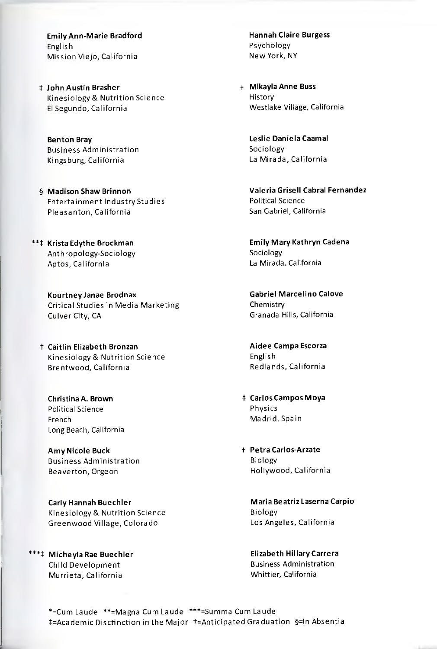Emily Ann-Marie Bradford **Hannah Claire Burgess** English Psychology Mission Viejo, California

f John Austin Brasher to the Suite of the Mikayla Anne Buss<br>Kinesiology & Nutrition Science the Mistory Kinesiology & Nutrition Science El Segundo, California Westlake Village, California

Benton Bray Leslie Daniela Caamal Business Administration and the Sociology Sociology<br>Ringsburg, California Kingsburg, California

§ Madison Shaw Brinnon **Valeria Grisell Cabral Fernandez**<br>Fotertainment Industry Studies **Valeria Construction** Political Science Entertainment Industry Studies<br>
Pleasanton California<br>
Pleasanton California Pleasanton, California

Anthropology-Sociology Sociology Aptos, California

Kourtney Janae Brodnax<br>Critical Studies in Media Marketing Chemistry Chemistry Critical Studies in Media Marketing Culver City, CA Granada Hills, California

 $\ddagger$  Caitlin Elizabeth Bronzan Aidee Campa Escorza Kinesiology & Nutrition Science<br>
Rentwood, California<br>
Redlands, California Brentwood, California

Political Science **Physics** French Madrid, Spain Long Beach, California

Amy Nicole Buck the Carlos-Arzate that the Petra Carlos-Arzate Business Administration business Administration Beaverton, Orgeon **Hollywood, California** 

Carly Hannah Buechler Maria Beatriz Laserna Carpio Kinesiology& Nutrition Science Biology Greenwood Village, Colorado

\*\*\*‡ Micheyla Rae Buechler **Elizabeth Hillary Carrera** Murrieta, California

\*\*‡ Krista Edythe Brockman Ferry Came Emily Mary Kathryn Cadena<br>Anthropology-Sociology Ferry Sociology Sociology

Christina A. Brown 1 Carlos Campos Moya

Child Development **Business Administration**<br>
Murrieta, California

\*=Cum Laude \*\*=Magna Cum Laude \*\*\*=Summa Cum Laude t=Academic Disctinction in the Major t=Anticipated Graduation §=ln Absentia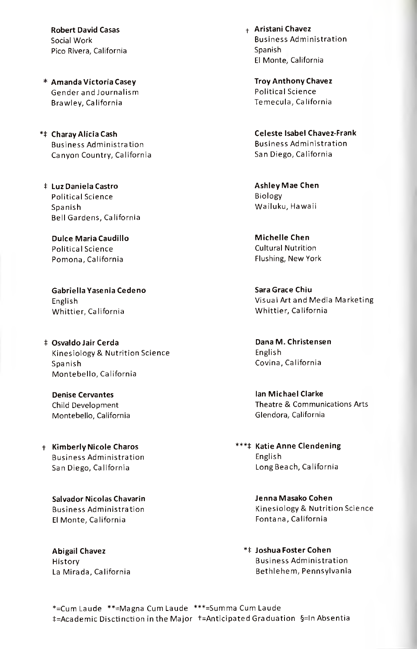Robert David Casas Social Work Pico Rivera, California

\* Amanda Victoria Casey Gender and Journalism Brawley, California

Charay Alicia Cash Business Administration Canyon Country, California

t Luz Daniela Castro Ashley Mae Chen Political Science **Biology** Spanish Wailuku, Hawaii Bell Gardens, California

**Dulce Maria Caudillo**<br> **Political Science**<br> **Political Science**<br> **Political Science** Political Science Pomona, California Flushing, New York

Gabriel la Yase nia **Cedeno** Sara Grace Chiu Whittier, California Whittier, California

OsvaldoJairCerda Dana M. Christensen Kinesiology & Nutrition Science English Spanish Covina, California Montebello, California

Montebello, California

Business Administration English

El Monte, California **Fontana**, California

-- Aristani **Chavez**  Business Administration Spanish El Monte, California

Troy Anthony Chavez Political Science Temecula, California

Celeste Isabel Chavez-Frank Business Administration San Diego, California

English Visual Art and Media Marketing

Denise Cervantes **International Clarke** Ian Michael Clarke Child Development Theatre & Communications Arts

t Kimberly Nicole Charos **1988 Example 20 Million** \*\*\*\*\* Katie Anne Clendening San Diego, California Long Beach, California

Salvador Nicolas Chavarin **Jenna Masako Cohen** Business Administration Kinesiology & Nutrition Science

Abigail Chavez **Abigail Chavez Abigail Chavez Abigail Chavez Abigail Chavez Abigail Chavez Abigail Chave** History Business Administration La Mirada, California and announcement and Bethlehem, Pennsylvania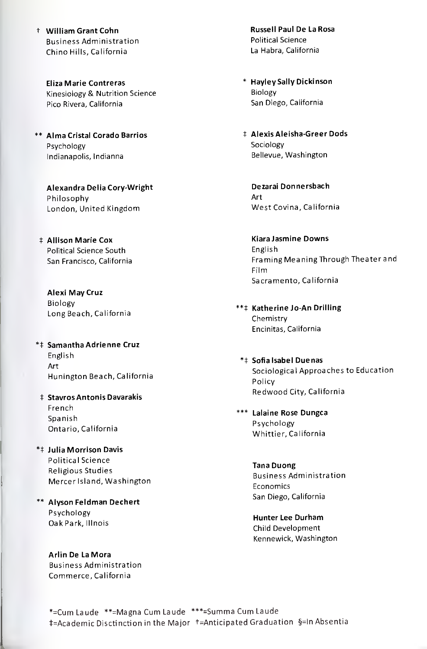t **William Grant Cohn**<br>Business Administration **Russell Paul De La Rosa**<br>Political Science Business Administration Political Science Chino Hills, California

**Eliza Marie Contreras \* \* Hayley Sally Dickinson**<br>Kinesiology & Nutrition Science \* \* \* \* Biology \* Biology Kinesiology & Nutrition Science Biology Pico Rivera, California

Psychology Sociology Indianapolis, Indianna

**Alexandra Delia Cory-Wright Dezarai Donnersbach**  Philosophy<br>| Philosophy | London\_United Kingdom | London, United Kingdom | London | West Covina, California London, United Kingdom

Political Science South

Alexi May **Cruz**  Biology Long Beach, California

- \*‡ Samantha Adrienne Cruz English Art Hunington Beach, California
- <sup>1</sup>**Stavros Anton** is Davarakis French Spanish Ontario, California

Julia Morrison Davis Political Science Religious Studies Mercer Island, Washington

\*\* **Alyson Feldman Dechert**  Psychology Oak Park, lllnois

> **Arlin De La Mora**  Business Administration Commerce, California

- 
- \*\* **Alma Cristal Corado Barrios t Alexis Aleisha-Greer Dods**

**1 Allison Marie Cox Kiara Jasmine Downs**  San Francisco, California Framing Meaning Through Theater and Film Sacramento, California

> \*\*\* Katherine Jo-An Drilling Chemistry Encinitas, California

- **\*j Sofia Isabel Duenas**  Sociological Approaches to Education Policy Redwood City, California
- \*\*\* Lalaine Rose Dungca Psychology Whittier, California

Tana Duong Business Administration Economics San Diego, California

Hunter Lee Durham Child Development Kennewick, Washington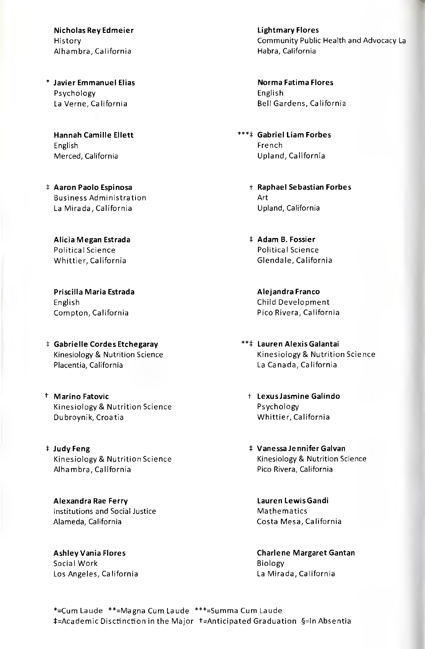Nicholas Rev Edmeier **Lightmary Flores** Alhambra, California **Habra**, California

Psychology English

English French

Business Administration **Art** La Mirada, California **National California** Upland, California

Political Science Political Science

Priscilla Maria Estrada **Alegandra Franco** Alejandra Franco English Child Development

1 Gabrielle Cordes Etchegaray Lauren Alexis Galantai Placentia, California La Canada, California

t Marino Fatovic t Lexusiasmine Galindo Kinesiology & Nutrition Science Psychology Dubroynik, Croatia Whittier, California

Judy Feng Vanessa Jennifer Galvan Kinesiology & Nutrition Science **Kinesiology & Nutrition Science** Alhambra, California **Pico Rivera, California** 

Alexandra Rae Ferry Lauren Lewis Gandi Institutions and Social Justice Mathematics Alameda, California Costa Mesa, California

Social Work **Biology** Los Angeles, California La Mirada, California

History Community Public Health and Advocacy La

\* Javier Emmanuel Elias Norma Fatima Flores La Verne, California **Bell Gardens**, California

Hannah Camille Ellett Gabriel Liam Forbes Merced, California Upland, California

Aaron Paolo **Espinosa** t Raphael Sebastian Forbes

Alicia Megan Estrada t Adam B. Fossier Whittier, California Christian Communication Communication Christian Communication Christian Christian Christian

Compton, California **Pico Rivera**, California

Kinesiology & Nutrition Science **Kinesiology & Nutrition Science** 

Ashley Vania Flores Charlene Margaret Gantan

\*Cum Laude \*\*=Magna Cum Laude \*\*\*=Summa Cum Laude 1=Academic Disctinction in the Major t=Anticipated Graduation §=ln Absentia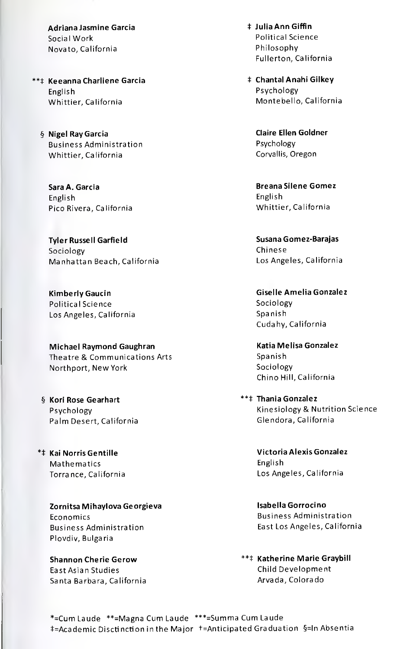Adrianaiasmine Garcia I: Julia Ann Giffin Social Work Political Science of the Science of the Political Science of the Political Science of the Political Sci<br>Philosophy Novato, California

English Psychology<br>Whittier, California Nortebello, California Whittier, California

§ **Nigel Ray Garcia** Claire Ellen Goldner<br>Business Administration<br>Psychology Business Administration Psychology Whittier, California

English English Pico Rivera, California XVIII et al. 2010 Mittier, California

Tyler Russell Garfield Susana Gomez-Barajas Sociology Chinese Manhattan Beach, California

Political Science<br>Los Angeles, California Los Angeles, California

Michael Raymond Gaughran Katia Melisa Gonzalez Theatre & Communications Arts Spanish Northport, New York Sociology

§ Kori Rose Gearhart Thania Gonzalez Palm Desert, California Glendora, California

Mathematics **English** 

Zornitsa Mihaylova Georgieva **Isabella Gorrocino** Economics Business Administration Business Administration **East Los Angeles, California** Plovdiv, Bulgaria

East Asian Studies Child Development Santa Barbara, California Arvada, Colorado

Fullerton, California

\*\*‡ Keeanna Charliene Garcia f f f Chantal Anahi Gilkey

Sara A. Garcia **Breana Silene Gomez** 

Kimberly Gaucin Filips (Filips of Giselle Amelia Gonzalez)<br>Political Science Cudahy, California

Chino Hill, California

Psychology **Example 20** The Sychology & Nutrition Science

Kai Norris Gentille Victoria Alexis Gonzalez Torrance, California Los Angeles, California

**Shannon Cherie Gerow**  \*\*\* Katherine Marie Graybill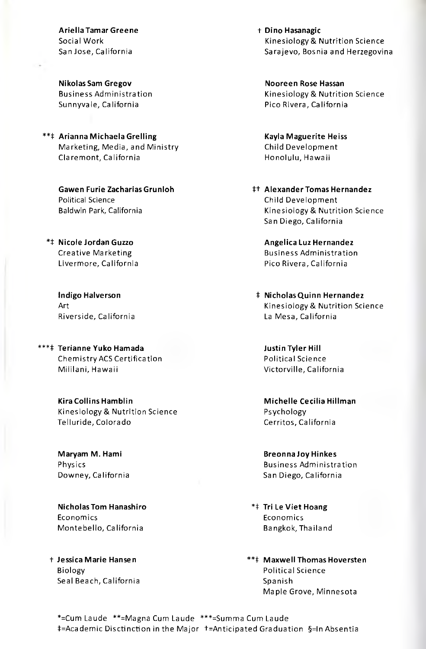Ariella Tamar Greene Social Work San Jose, California

Nikolas Sam Gregov Business Administration Sunnyvale, California

**'l** Arianna Michaela Grelling Marketing, Media, and Ministry Claremont, California

> Gawen Furie Zacharias **Grunloh**  Political Science Baldwin Park, California

\*1: Nicole Jordan Guzzo Creative Marketing Livermore, California

**Terianne Vuko Hamada** Justin Tyler Hill Chemistry ACS Certification Political Science Mililani, Hawaii Victorville, California

Kira Collins Hamblin **Michelle Cecilia Hillman** Kinesiology & Nutrition Science **Propriate Psychology** Telluride, Colorado Cerritos, California

Nicholas Tom Hanashiro **Nicholas Tom Hanashiro '**\* Tri Le Viet Hoang Economics Economics Montebello, California Bangkok, Thailand

Biology **Political Science** Seal Beach, California Spanish

t **Dino Hasanagic**  Kinesiology& Nutrition Science Sarajevo, Bosnia and Herzegovina

Nooreen Rose Hassan Kinesiology & Nutrition Science Pico Rivera, California

Kayla Maguerite Heiss Child Development Honolulu, Hawaii

**‡+ Alexander Tomas Hernandez** Child Development Kinesiology & Nutrition Science San Diego, California

Angelica Luz Hernandez Business Administration Pico Rivera, California

**Indigo Halverson 1 Nicholas Quinn Hernandez**  Art Kinesiology & Nutrition Science Riverside, California La Mesa, California

**Maryam M. Hami Breonna Joy Hinkes** Physics **Business Administration** Downey, California San Diego, California

t **Jessica Marie Hansen** \*\*t **Maxwell Thomas Hoversten**  Maple Grove, Minnesota

\*=Cum Laude \*\*=Magna Cum Laude \*\*\*=Summa Cum Laude 1=Academic Disctinction in the Major t=Anticipated Graduation §=ln Absentia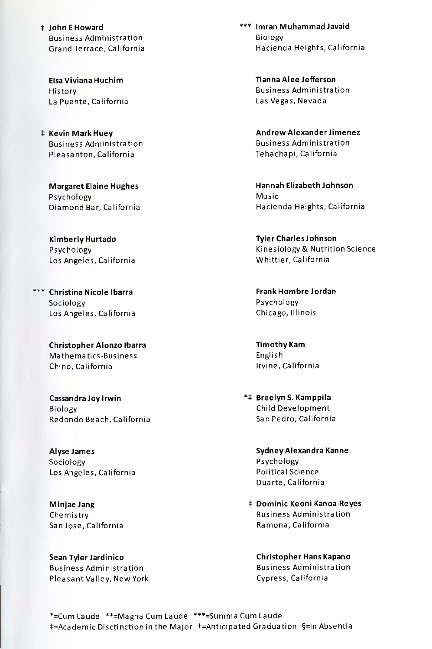John EHoward Business Administration Grand Terrace, California

**Elsa Viviana Huchim**  History La Puente, California

I: **Kevin** Mark Huey Business Administration Pleasanton, California

Margaret Elaine Hughes Psychology Diamond Bar, California

**Kimberly Hurtado**  Psychology Los Angeles, California

\*\*\* Christina Nicole Ibarra Sociology Los Angeles, California

> **Christopher Alonzo Ibarra**  Mathematics-Business Chino, California

Cassandra Joy Irwin Biology Redondo Beach, California

Alyse James Sociology Los Angeles, California

Minjae Jang Chemistry San Jose, California

Sean Tyler Jardinico Christopher Hans **Kapano**  Business Administration and all the Business Administration Pleasant Valley, New York Cypress, California

lmran Muhammad Javaid Biology Hacienda Heights, California

> **Tianna Alee Jefferson**  Business Administration Las Vegas, Nevada

Andrew Alexander Jimenez Business Administration Tehachapi, California

Hannah Elizabeth **Johnson**  Music Hacienda Heights, California

Tyler CharlesJohnson Kinesiology& Nutrition Science Whittier, California

Frank Hombre Jordan Psychology Chicago, Illinois

Timothy **Kam**  English Irvine, California

\*‡ Breelyn S. Kamppila Child Development San Pedro, California

> Sydney Alexandra Kanne Psychology Political Science Duarte, California

**Dominic Keoni Kanoa-Reyes**  Business Administration Ramona, California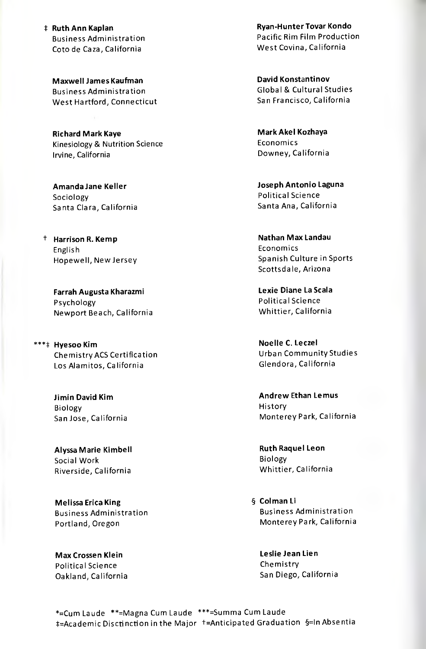Business Administration Pacific Rim Film Production Pacific Rim Film Production<br>Pacific Rim Pacific Rim Production And Productional Collisionnia Coto de Caza, California

**Maxwell James Kaufman David Konstantinov**<br> **David Konstantinov Clobal & Cultural Studies**<br>
Global & Cultural Studies Business Administration Global & Cultural Studies West Hartford, Connecticut

Richard Mark Kaye **Mark Akel Kozhaya Mark Akel Kozhaya** Kinesiology & Nutrition Science **Example 2018** Economics<br>
Irvine California Irvine, California

Sociology<br>
Santa Clara California (Santa California et al. California et al. California et al. California Santa Clara, California

**t** Harrison R. Kemp **Nathan Max Landau** Hopewell, New Jersey

**Farrah Augusta Kharazmi Lexie Diane La Scala and Lexie Diane La Scala and La Scala and La Scala and La Scala <br>
Revenued Burgusta Burgusta and La Scala and La Scala and La Scala and La Scala and La Scala and La Scala and L** Psychology Political Science Newport Beach, California

\*\*\*‡ Hyesoo Kim<br>Chemistry ACS Certification **And American Studies** (Chemistry ACS Certification Chemistry ACS Certification and Urban Community Studies Inc.<br>
Urban Caliminos California Los Alamitos, California

San Jose, California

**Alyssa Marie Kimbell Ruth Raquel Leon**  Social Work<br>Riverside California (1999) - Biology Monttler, California Riverside, California

**Business Administration** Portland, Oregon Monterey Park, California

**Max Crossen Klein Leslie Jean Lien (1988)**<br>Political Science **Leslie Science (1998)**<br>Chemistry Oakland, California

t **Ruth Ann Kaplan Ryan-Hunter Tovar Kondo** 

Amanda Jane Keller **Joseph Antonio Laguna** 

English Economics Scottsdale, Arizona

**Jimin David Kim Andrew Ethan Lemus**<br>**Riology History** Biology History

**Melissa Erica King** § Colman Li

Political Science<br>
California California Chemistry San Diego, California<br>
California Chemistry San Diego, California

\*=Cum Laude \*\*=Magna Cum Laude \*\*\*=Summa Cum Laude =Academic Disctinction in the Major t=Anticipated Graduation §=In Absentia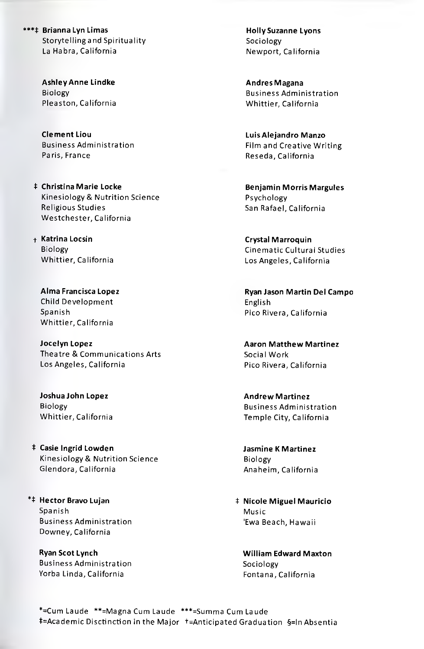\*\*\*‡ Brianna Lyn Limas **Holly Suzanne Lyons** Storytelling and Spirituality<br>La Habra, California

Ashley Anne Lindke **Andres Magana Andres Magana** 

Clement Liou **Luis Alejandro Manzo**  Paris, France **Research California** 

**1 Christina Marie Locke Benjamin Morris Margules**  Kinesiology & Nutrition Science **Psychology** Religious Studies **San Rafael, California** Westchester, California

t Katrina Locsin **Crystal Marroquin**<br>Biology **Calculation Communic Contracts** 

Child Development English Whittier, California

**Jocelyn Lopez Community Community Aaron Matthew Martinez Aaron Matthew Martinez** Theatre & Communications Arts Social Work Los Angeles, California **Pico Rivera, California** Pico Rivera, California

**Joshua John Lopez Andrew Martinez Andrew Martinez** 

**Casie Ingrid Lowden Jasmine K Martinez**  Kinesiology & Nutrition Science Biology Glendora, California **Anaheim, California** Anaheim, California

**l Hector Bravo Lujan** t **Nicole Miguel Mauricio**  Spanish Music Business Administration **Example 20** The Seach, Hawaii Downey, California

**Ryan Scot Lynch William Edward Maxton**  Business Administration Sociology Yorba Linda, California eta alianzarria eta Erresta Errefundatuaren Errefunda eta Errefundatuaren arteana, California

Newport, California

Biology<br>
Business Administration<br>
Pleaston, California Whittier, California

Business Administration **Film and Creative Writing** 

Biology<br>
Cinematic Cultural Studies<br>
Unittier, California<br>
Cos Angeles, California Los Angeles, California

**Alma Francisca Lopez Ryan Jason Martin Del Campo**  Spanish Pico Rivera, California

Biology Business Administration Whittier, California Temple City, California

\*=Cum Laude \*\*=Magna Cum Laude \*\*\*=Summa Cum Laude =Academic Disctinction in the Major t=Anticipated Graduation §=ln Absentia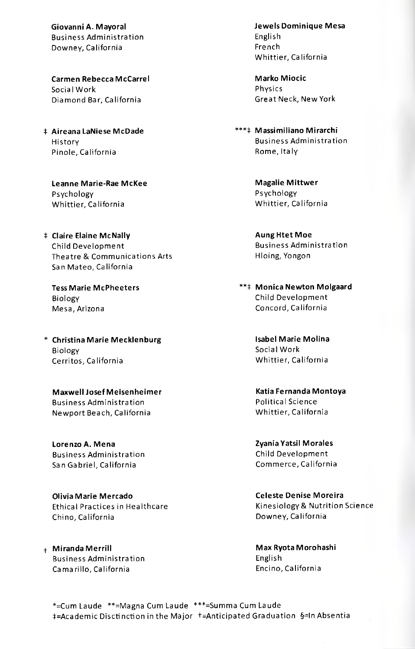**Giovanni A. Mayoral Jewels Dominique Mesa**  Business Administration English Downey, California French

**Carmen Rebecca McCarrel Marko Miocic**  Social Work Physics Diamond Bar, California

Pinole, California **Rome, Italy** 

**Leanne Marie-Rae McKee Magalie Mittwer Magalie Mittwer Channel Structure Channel Magalie Mittwer Channel Structure Media<br>Magalie Proposition Structure Magalie Mittwer Psychology** Psychology Psychology Whittier, California

t Claire Elaine McNally Aung Htet **Moe**  Child Development Child Development Theatre & Communications Arts **Highlands** Hloing, Yongon San Mateo, California

\* Christina Marie Mecklenburg Isabel Marie Molina Biology Social Work Cerritos, California Whittier, California

**Maxwell Josef Meisenheimer**  Business Administration Newport Beach, California

**Lorenzo A. Mena**  Business Administration San Gabriel, California

Olivia Marie Mercado Ethical Practices in Healthcare Chino, California

+ Miranda Merrill Business Administration English Camarillo, California Encino, California

Whittier, California

 $\ddagger$  Aireana LaNiese McDade **Massimiliano** Mirarchi History Business Administration

Tess Marie McPheeters "t **Monica Newton Molgaard**  Biology Child Development Mesa, Arizona Concord, California

Katia Fernanda Montoya Political Science Whittier, California

ZyaniaYatsil Morales Child Development Commerce, California

**Celeste Denise Moreira**  Kinesiology& Nutrition Science Downey, California

**Miranda Merrill Max Ryota Morohashi**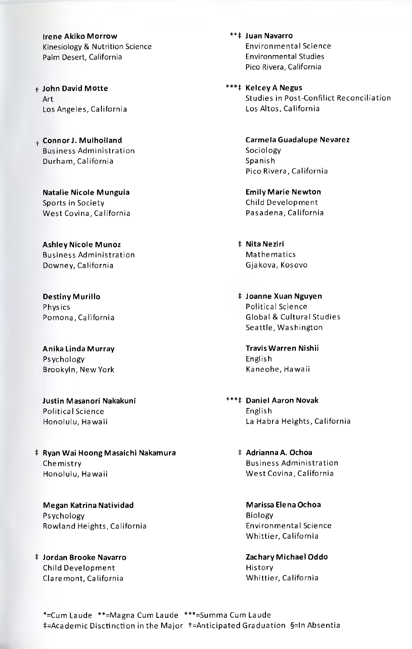Irene Akiko Morrow t Juan Navarro Kinesiology & Nutrition Science **Environmental Science Environmental Scienc**<br>Palm Desert California Palm Desert, California

**i- John David Motte KelceyA Negus**  Los Angeles, California

**Business Administration** Durham, California Spanish

Natalie Nicole Munguia **Natalie School And Accord Emily Marie Newton** Sports in Society Child Development West Covina, California

Ashley Nicole Munoz 1 Nita Neziri **Business Administration** Downey, California Gjakova, Kosovo

Pomona, California

**Anika Linda Murray Travis Warren Nishii**  Psychology **English** Brookyln, New York **Kaneohe, Hawaii** Kaneohe, Hawaii

Justin Masanori Nakakuni \*\*\*t Daniel Aaron **Novak**  Political Science **English** 

**t Ryan Wai Hoong Masaichi Nakamura** AdriannaA. Ochoa Chemistry **Business Administration** Honolulu, Hawaii West Covina, California

**Megan Katrina Natividad Marissa Elena Ochoa** Psychology **Biology Biology** Rowland Heights, California **Environmental Science** Environmental Science

 $\ddagger$  Jordan Brooke Navarro **National State of America** Zachary Michael Oddo Child Development **History** Claremont, California Whittier, California

Pico Rivera, California

Studies in Post-Confilict Reconciliation<br>Los Altos, California

**Connor J. Mulholland Carmela Guadalupe Nevarez**  Pico Rivera, California

Destiny Murillo the August of August 2012 to Joanne Xuan Nguyen Physics Political Science Seattle, Washington

Honolulu, Hawaii La Habra Heights, California

Whittier, California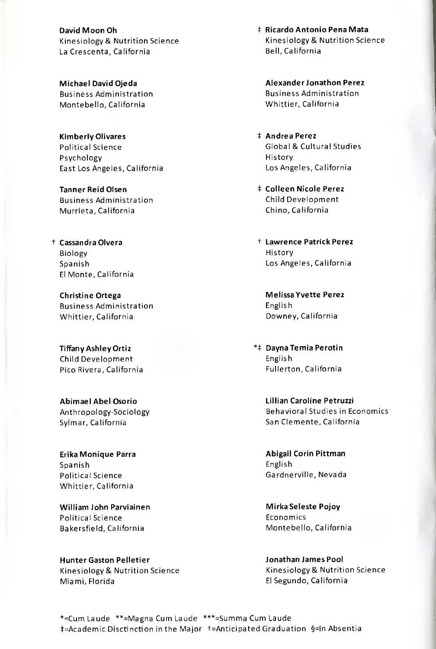Kinesiology & Nutrition Science La Crescenta, California **Bell**, California

Business Administration Business Administration Montebello, California

Kimberly Olivares f Andrea Perez Political Science Communication Communications of Global & Cultural Studies Psychology<br>Fast Los Angeles, California and Marchines and Museum and Los Angeles, California East Los Angeles, California

**Business Administration** Murrieta, California Chino, California

Biology History El Monte, California

Christine Ortega Melissa Yvette Perez Business Administration English Whittier, California **Downey**, California

Child Development English

Spanish English Whittier, California

William John Parviainen **Mirka Seleste Pojoy Mirka Seleste Pojoy** Political Science **Economics** Bakersfield, California Montebello, California

Hunter Gaston Pelletier **Jonathan James Pool** Miami, Florida El Segundo, California

David Moon Oh **Ricardo Antonio Pena Mata** 

Michael David Ojeda Alexander Jonathon Perez

Tanner Reid Olsen the Colleen Nicole Perez<br>Business Administration the Child Development

t Cassandra Olvera t Lawrence Patrick Perez Spanish Los Angeles, California

Tiffany Ashley Ortiz **Dayna Temia Perotin** Pico Rivera, California **Fullerton**, California

Abimael Abel Osorio Lillian Caroline Petruzzi Anthropology-Sociology **Behavioral Studies in Economics** Behavioral Studies in Economics Sylmar, California Sylmar, California

Erika Monique Parra **Abigail Corin Pittman** Political Science Carolines Cardiac Gardnerville, Nevada

Kinesiology & Nutrition Science **Kinesiology & Nutrition Science**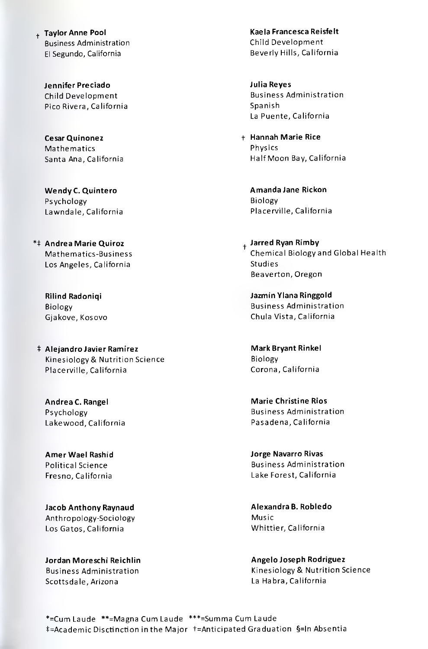Taylor Anne **Pool**  Business Administration El Segundo, California

Jennifer Preciado Child Development Pico Rivera, California

Mathematics **Physics** 

Psychology Biology

\*\* Andrea Marie Quiroz Jarred Ryan Rimby Los Angeles, California Studies

**1 Alejandro Javier Ramirez Mark Bryant Rinkel**  Kinesiology & Nutrition Science **Biology** Placerville, California Corona, California

Lakewood, California **Pasadena**, California

Anthropology-Sociology Music Los Gatos, California Whittier, California

Scottsdale, Arizona **La Habra**, California

Kaela Francesca Reisfelt Child Development Beverly Hills, California

Julia Reyes Business Administration Spanish La Puente, California

Cesar Quinonez i- Hannah Marie Rice Santa Ana, California **Mateura Analy, California** Half Moon Bay, California

**Wendy C. Quintero Amanda Jane Rickon Amanda Jane Rickon** Lawndale, California **Placerville**, California

Mathematics-Business Chemical Biologyand Global Health Beaverton, Oregon

**Rilind Radoniqi Jazmin Ylana Ringgold**  Biology Business Administration Gjakove, Kosovo Chula Vista, California

Andrea C. Rangel **Marie Christine Rios Marie Christine Rios Marie Christine Rios** Psychology **Business Administration** 

Amer Wael Rashid Jorge Navarro Rivas Political Science **Business Administration** Fresno, California Lake Forest, California

Jacob Anthony Raynaud **Alexandra B. Robledo** 

Jordan Moreschi Reichlin Angelo Joseph Rodriguez Business Administration **Kinesiology & Nutrition Science**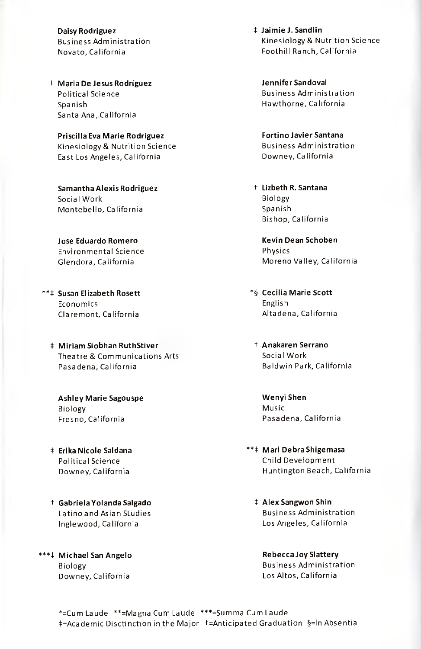Daisy Rodriguez Jaimie **J.** Sandlin

**t Maria De Jesus Rodriguez Jennifer Sandoval**  Political Science **Business Administration** Spanish **Hawthorne, California** Santa Ana, California

Priscilla Eva Marie Rodriguez **Fortino Javier Santana**<br>
Kinesiology & Nutrition Science<br> **Fusions** Business Administration Kinesiology & Nutrition Science **Business Administration Science Administration**<br>Fast Los Angeles, California East Los Angeles, California

Samantha Alexis Rodriguez t Lizbeth **R.** Santana Social Work North Biology<br>Montebello, California North Biology (Spanish Montebello, California

Environmental Science **Physics** 

\*\*\* Susan Elizabeth Rosett **1988 120 and 120 and 120 and 120 and 120 and 120 and 120 and 120 and 120 and 120 and 120 and 120 and 120 and 120 and 120 and 120 and 120 and 120 and 120 and 120 and 120 and 120 and 120 and 120 a** Economics<br>Claremont. California and a series of the series of the Altadena, California Claremont, California

Miriam Siobhan RuthStiver **t** Anakaren Serrano Theatre & Communications Arts Social Work Pasadena, California **Baldwin Park, California** 

**Ashley Marie Sagouspe Wenyi Shen**  Biology Music Number of the Music Number of the Music Number of the Music Number of the Music Number of the Music Number of the Music Number of the Music Number of the Music Number of the Music Number of the Music Number o Fresno, California **Pasadena**, California

t Gabriela Yolanda Salgado 1 a.C. 2014 1 Alex Sangwon Shin Inglewood, California **Los Angeles**, California

\*\*\*\* Michael San Angelo **Rebecca Joy Slattery** Downey, California **Los Altos, California** 

Business Administration Kinesiology & Nutrition Science Novato, California **Foothill Ranch, California** 

Bishop, California

**Jose Eduardo Romero Kevin Dean Schoben**  Glendora, California **Moreno Valley, California** Moreno Valley, California

 $\ddagger$  Erika Nicole Saldana Mari Debra Shigemasa Political Science Child Development Downey, California **Mateurs According Contracts** Huntington Beach, California

Latino and Asian Studies **Business Administration** 

Biology Business Administration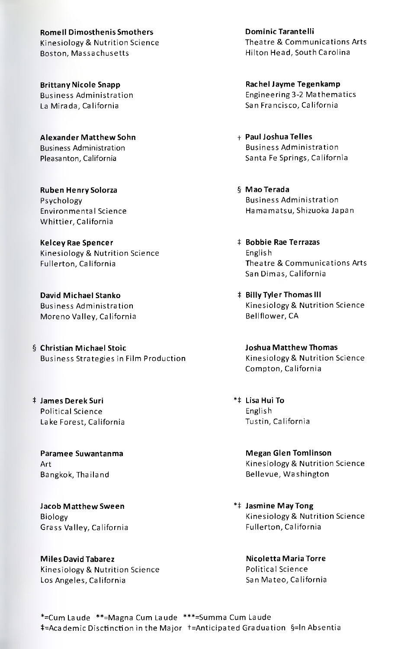**Romell Dimosthenis Smothers** Dominic Tarantelli Boston, Massachusetts **Hilton Head, South Carolina** 

**Brittany Nicole Snapp**  Business Administration La Mirada, California

Alexander Matthew Sohn Business Administration Pleasanton, California

Ruben Henry Solorza Psychology Environmental Science Whittier, California

Kelcey Rae Spencer Kinesiology & Nutrition Science Fullerton, California

David Michael Stanko Business Administration Moreno Valley, California

§ Christian Michael Stoic Business Strategies in Film Production

 $‡$  James Derek Suri Political Science Lake Forest, California

Paramee Suwantanma Art Bangkok, Thailand

Jacob Matthew Sween Biology Grass Valley, California

**Miles David Tabarez** Nicoletta Maria Torre Kinesiology & Nutrition Science **Political Science** Political Science Los Angeles, California San Mateo, California

Kinesiology & Nutrition Science Theatre & Communications Arts

**Rachel Jayme Tegenkamp**  Engineering 3-2 Mathematics San Francisco, California

t **Paul Joshua Telles**  Business Administration Santa Fe Springs, California

§ MaoTerada Business Administration Hamamatsu, Shizuoka Japan

t Bobbie Rae Terrazas English Theatre & Communications Arts San Dimas, California

1 Billy Tyler Thomas III Kinesiology& Nutrition Science Bellflower, CA

Joshua Matthew Thomas Kinesiology& Nutrition Science Compton, California

Lisa Hui **To**  English Tustin, California

> **Megan Glen Tomlinson**  Kinesiology & Nutrition Science Bellevue, Washington

\*f **Jasmine MayTong**  Kinesiology& Nutrition Science Fullerton, California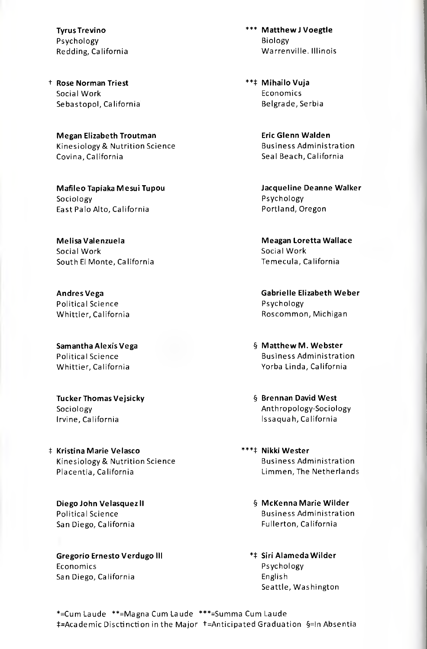Psychology Biology Biology

t Rose Norman Triest the Mihailo Vuja Social Work Economics Sebastopol, California Belgrade, Serbia

Megan Elizabeth Troutman **Eric Glenn Walden**  Kinesiology & Nutrition Science **Business Administration** Covina, California **Seal Beach, California** Seal Beach, California

Sociology **Psychology** Psychology East Palo Alto, California **Portland**, Oregon

Mel isa Vale nzuela Meagan Loretta Wallace Social Work **Social Work** Social Work South El Monte, California **Temecula**, California

Political Science **Provides** Psychology

Irvine, California **Issaquah, California** 

t Kristina Marie Velasco 't Nikki Wester Kinesiology & Nutrition Science **Business Administration** Placentia, California Limmen, The Netherlands

San Diego, California Fullerton, California

Gregorio Ernesto Verdugo III and Siri Alameda Wilder Economics **Psychology** San Diego, California **English** 

Tyrus Trevino Matthew J Voegtle Redding, California Warrenville. Illinois

**Mafileo Tapiaka Mesui Tupou Jacqueline Deanne Walker** 

Andres Vega Gabrielle Elizabeth Weber Whittier, California **Roscommon**, Michigan

Samantha Alexis Vega **Bank and Alexis Vega §** Matthew M. Webster Political Science **Business Administration** Whittier, California XVIII California Vorba Linda, California

Tucker Thomas Vejsicky **by the Contract Contract Contract Contract Contract Contract Contract Contract Contract Contract Contract Contract Contract Contract Contract Contract Contract Contract Contract Contract Contract Co** Sociology **Anthropology-Sociology** 

Diego John Velasquez II § McKenna Marie Wilder Political Science **Business Administration** 

Seattle, Washington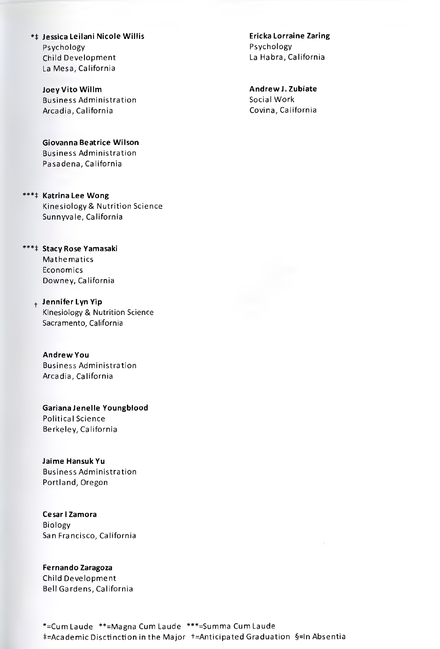\*4: Jessica Leilani Nicole Willis Ericka Lorraine Zaring Psychology Psychology Child Development La Mesa, California

**Joey Vito WilIm**  Business Administration Arcadia, California

Giovanna Beatrice Wilson Business Administration Pasadena, California

\*\*\*\* Katrina Lee Wong Kinesiology & Nutrition Science Sunnyvale, California

#### '4: Stacy Rose Yamasaki Mathematics Economics Downey, California

Jennifer Lyn Yip Kinesiology & Nutrition Science Sacramento, California

Andrew You Business Administration Arcadia, California

Gariana Jenelle Youngblood Political Science Berkeley, California

Jaime HansukYu Business Administration Portland, Oregon

Cesar **I** Zamora Biology San Francisco, California

Fernando Zaragoza Child Development Bell Gardens, California

Andrew **J.** Zubiate Social Work Covina, California



\*=Cum Laude \*\*=Magna Cum Laude \*\*\*=Summa Cum Laude t=Academic Disctinction in the Major t=Anticipated Graduation §=ln Absentia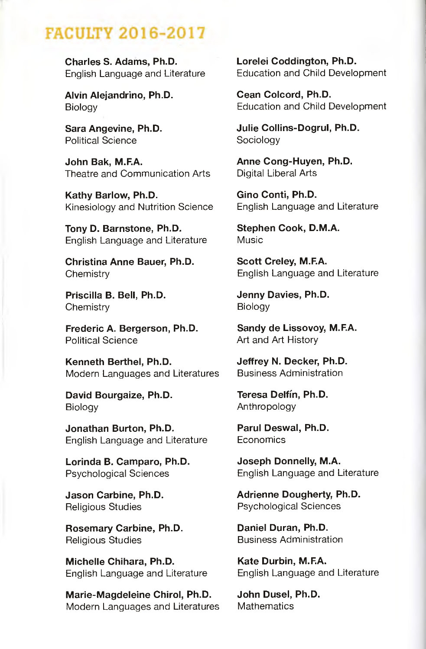## **FACULTY 2016-2017**

**Charles S. Adams, Ph.D.**  English Language and Literature

**Alvin Alejandrino, Ph.D.**  Biology

**Sara Angevine, Ph.D.**  Political Science

**John Bak, M.F.A.**  Theatre and Communication Arts

**Kathy Barlow, Ph.D.**  Kinesiology and Nutrition Science

**Tony D. Barnstone, Ph.D.**  English Language and Literature

**Christina Anne Bauer, Ph.D. Chemistry** 

**Priscilla B. Bell, Ph.D. Chemistry** 

**Frederic A. Bergerson, Ph.D.**  Political Science

**Kenneth Berthel, Ph.D.**  Modern Languages and Literatures

**David Bourgaize, Ph.D.**  Biology

**Jonathan Burton, Ph.D.**  English Language and Literature

**Lorinda B. Camparo, Ph.D.**  Psychological Sciences

**Jason Carbine, Ph.D.**  Religious Studies

**Rosemary Carbine, Ph.D.**  Religious Studies

**Michelle Chihara, Ph.D.**  English Language and Literature

**Marie-Magdeleine Chirol, Ph.D.**  Modern Languages and Literatures **Lorelei Coddington, Ph.D.**  Education and Child Development

**Cean Colcord, Ph.D.**  Education and Child Development

**Julie Collins-Dogrul, Ph.D.**  Sociology

**Anne Cong-Huyen, Ph.D.**  Digital Liberal Arts

**Gino Conti, Ph.D.**  English Language and Literature

**Stephen Cook, D.M.A.**  Music

**Scott Creley, M.F.A.**  English Language and Literature

**Jenny Davies, Ph.D.**  Biology

**Sandy de Lissovoy, M.F.A.**  Art and Art History

**Jeffrey N. Decker, Ph.D.**  Business Administration

**Teresa Delfín, Ph.D.** Anthropology

**Parul Deswal, Ph.D. Economics** 

**Joseph Donnelly, M.A.**  English Language and Literature

**Adrienne Dougherty, Ph.D.**  Psychological Sciences

**Daniel Duran, Ph.D.**  Business Administration

**Kate Durbin, M.F.A.**  English Language and Literature

**John Dusel, Ph.D. Mathematics**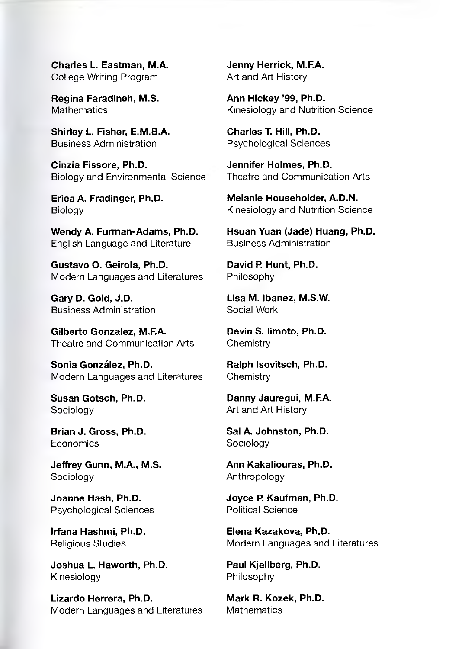**Charles L. Eastman, M.A.**  College Writing Program

**Regina Faradineh, M.S. Mathematics** 

**Shirley L. Fisher, E.M.B.A.**  Business Administration

**Cinzia Fissore, Ph.D.**  Biology and Environmental Science

**Erica A. Fradinger, Ph.D.**  Biology

**Wendy A. Furman-Adams, Ph.D.**  English Language and Literature

**Gustavo 0. Geirola, Ph.D.**  Modern Languages and Literatures

**Gary D. Gold, J.D.**  Business Administration

**Gilberto Gonzalez, M.F.A.**  Theatre and Communication Arts

Sonia González, Ph.D. Modern Languages and Literatures

**Susan Gotsch, Ph.D.**  Sociology

**Brian J. Gross, Ph.D. Economics** 

**Jeffrey Gunn, M.A., M.S.**  Sociology

**Joanne Hash, Ph.D.**  Psychological Sciences

**Irfana Hashmi, Ph.D.**  Religious Studies

**Joshua L. Haworth, Ph.D.**  Kinesiology

**Lizardo Herrera, Ph.D.**  Modern Languages and Literatures **Jenny Herrick, M.F.A.**  Art and Art History

**Ann Hickey '99, Ph.D.**  Kinesiology and Nutrition Science

**Charles T. Hill, Ph.D.**  Psychological Sciences

**Jennifer Holmes, Ph.D.**  Theatre and Communication Arts

**Melanie Householder, A.D.N.**  Kinesiology and Nutrition Science

**Hsuan Yuan (Jade) Huang, Ph.D.**  Business Administration

**David P. Hunt, Ph.D.**  Philosophy

**Lisa M. Ibanez, M.S.W.**  Social Work

**Devin S. limoto, Ph.D. Chemistry** 

**Ralph lsovitsch, Ph.D. Chemistry** 

**Danny Jauregui, M.F.A.**  Art and Art History

**Sal A. Johnston, Ph.D.**  Sociology

**Ann Kakaliouras, Ph.D.**  Anthropology

Joyce **R Kaufman, Ph.D.**  Political Science

**Elena Kazakova, Ph.D.**  Modern Languages and Literatures

**Paul Kjellberg, Ph.D.**  Philosophy

**Mark R. Kozek, Ph.D. Mathematics**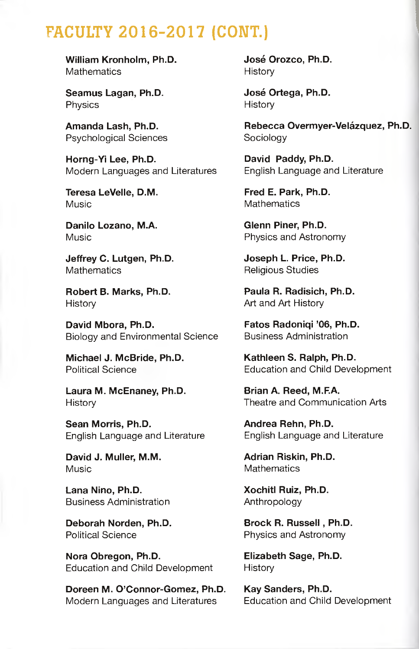## **FACULTY 2016-2017 (CONT.)**

**William Kronholm, Ph.D. Mathematics** 

**Seamus Lagan, Ph.D.**  Physics

**Amanda Lash, Ph.D.**  Psychological Sciences

**Horng-Yi Lee, Ph.D.**  Modern Languages and Literatures

**Teresa LeVelle, D.M.**  Music

**Danilo Lozano, M.A.**  Music

**Jeffrey C. Lutgen, Ph.D.**  Mathematics

**Robert B. Marks, Ph.D.**  History

**David Mbora, Ph.D.**  Biology and Environmental Science

**Michael J. McBride, Ph.D.**  Political Science

**Laura M. McEnaney, Ph.D.**  History

**Sean Morris, Ph.D.**  English Language and Literature

**David J. Muller, M.M.**  Music

**Lana Nino, Ph.D.**  Business Administration

**Deborah Norden, Ph.D.**  Political Science

**Nora Obregon, Ph.D.**  Education and Child Development

**Doreen M. O'Connor-Gomez, Ph.D.**  Modern Languages and Literatures

**José Orozco, Ph.D. History** 

**José Ortega, Ph.D.**  History

**Rebecca Overmyer-Velázquez, Ph.D.**  Sociology

**David Paddy, Ph.D.**  English Language and Literature

**Fred E. Park, Ph.D. Mathematics** 

**Glenn Finer, Ph.D.**  Physics and Astronomy

**Joseph L. Price, Ph.D.**  Religious Studies

**Paula R. Radisich, Ph.D.**  Art and Art History

**Fatos Radoniqi '06, Ph.D.**  Business Administration

**Kathleen S. Ralph, Ph.D.**  Education and Child Development

**Brian A. Reed, M.F.A.**  Theatre and Communication Arts

**Andrea Rehn, Ph.D.**  English Language and Literature

**Adrian Riskin, Ph.D. Mathematics** 

**Xochitl Ruiz, Ph.D.**  Anthropology

**Brock R. Russell, Ph.D.**  Physics and Astronomy

**Elizabeth Sage, Ph.D.**  History

**Kay Sanders, Ph.D.**  Education and Child Development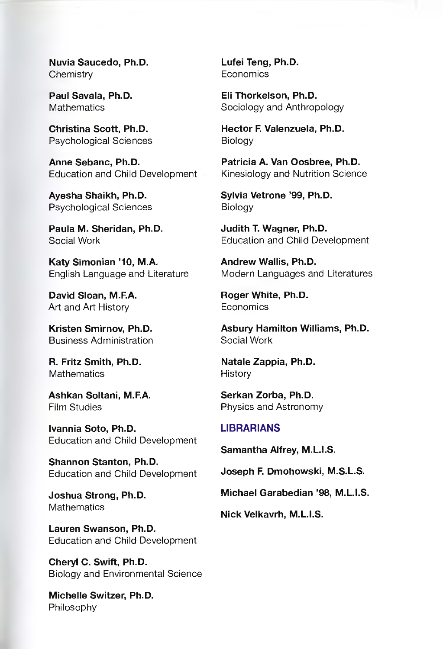Nuvia Saucedo, **Ph.D. Chemistry** 

**Paul Savala, Ph.D. Mathematics** 

**Christina Scott, Ph.D.**  Psychological Sciences

**Anne Sebanc, Ph.D.**  Education and Child Development

**Ayesha Shaikh, Ph.D.**  Psychological Sciences

**Paula M. Sheridan, Ph.D.**  Social Work

**Katy Simonian '10, M.A.**  English Language and Literature

**David Sloan, M.F.A.**  Art and Art History

**Kristen Smirnov, Ph.D.**  Business Administration

**R. Fritz Smith, Ph.D. Mathematics** 

**Ashkan Soltani, M.F.A.**  Film Studies

**Ivannia Soto, Ph.D.**  Education and Child Development

**Shannon Stanton, Ph.D.**  Education and Child Development

**Joshua Strong, Ph.D. Mathematics** 

**Lauren Swanson, Ph.D.**  Education and Child Development

**Cheryl C. Swift, Ph.D.**  Biology and Environmental Science

**Michelle Switzer, Ph.D.**  Philosophy

**Lufei Teng, Ph.D.**  Economics

**Eli Thorkelson, Ph.D.**  Sociology and Anthropology

**Hector F. Valenzuela, Ph.D. Biology** 

**Patricia A. Van Oosbree, Ph.D.**  Kinesiology and Nutrition Science

**Sylvia Vetrone '99, Ph.D.**  Biology

**Judith T. Wagner, Ph.D.**  Education and Child Development

**Andrew Wallis, Ph.D.**  Modern Languages and Literatures

**Roger White, Ph.D. Economics** 

**Asbury Hamilton Williams, Ph.D.**  Social Work

**Natale Zappia, Ph.D. History** 

**Serkan Zorba, Ph.D.**  Physics and Astronomy

#### **LIBRARIANS**

**Samantha Alfrey, M.U.S.** 

**Joseph F. Dmohowski, M.S.L.S.** 

**Michael Garabedian '98, M.U.S.** 

**Nick Velkavrh, M.L.I.S.**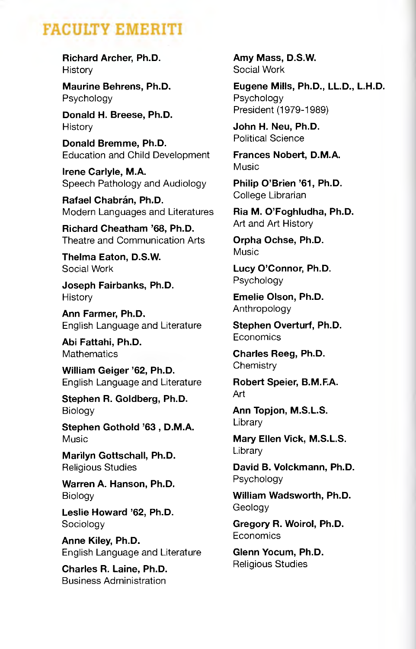### **FACILITY EMERITI**

**Richard Archer, Ph.D.**  History

**Maurine Behrens, Ph.D.**  Psychology

**Donald H. Breese, Ph.D.**  History

**Donald Bremme, Ph.D.**  Education and Child Development

**Irene Carlyle, M.A.**  Speech Pathology and Audiology

**Rafael Chabrán, Ph.D.**  Modern Languages and Literatures

**Richard Cheatham '68, Ph.D.**  Theatre and Communication Arts

**Thelma Eaton, D.S.W.**  Social Work

**Joseph Fairbanks, Ph.D.**  History

**Ann Farmer, Ph.D.**  English Language and Literature

**Abi Fattahi, Ph.D. Mathematics** 

**William Geiger '62, Ph.D.**  English Language and Literature

**Stephen A. Goldberg, Ph.D.**  Biology

**Stephen Gothold '63, D.M.A.**  Music

**Marilyn Gottschall, Ph.D.**  Religious Studies

**Warren A. Hanson, Ph.D.**  Biology

**Leslie Howard '62, Ph.D.**  Sociology

**Anne Kiley, Ph.D.**  English Language and Literature

**Charles R. Laine, Ph.D.** Business Administration

**Amy Mass, D.S.W.**  Social Work

**Eugene Mills, Ph.D., LL.D., L.H.D.**  Psychology President (1979-1989)

**John H. Neu, Ph.D.**  Political Science

**Frances Nobert, D.M.A.**  Music

**Philip O'Brien '61, Ph.D.**  College Librarian

**Ria M. O'Foghludha, Ph.D.**  Art and Art History

**Orpha Ochse, Ph.D.**  Music

**Lucy O'Connor, Ph.D. Psychology** 

**Emelie Olson, Ph.D.**  Anthropology

Stephen Overturf, **Ph.D. Economics** 

**Charles Reeg, Ph.D. Chemistry** 

**Robert Speier, B.M.F.A.**  Art

**Ann Topjon, M.S.L.S.**  Library

**Mary Ellen Vick, M.S.L.S.**  Library

**David B. Volckmann, Ph.D.**  Psychology

**William Wadsworth, Ph.D.**  Geology

**Gregory R. Woirol, Ph.D. Economics** 

**Glenn Yocum, Ph.D.**  Religious Studies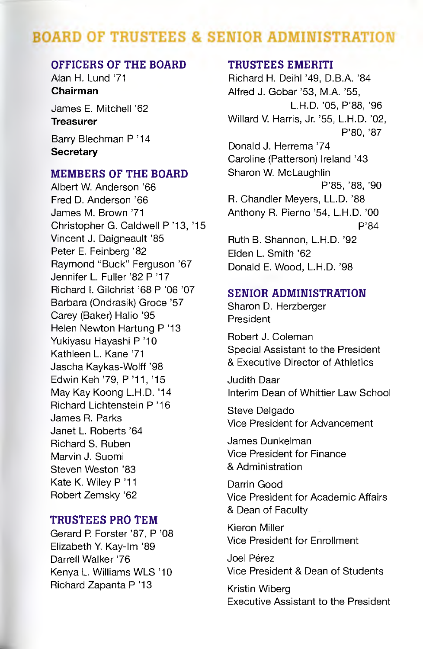### **BOARD OF TRUSTEES & SENIOR ADMINISTRATION**

#### **OFFICERS OF THE BOARD**

Alan H. Lund '71 **Chairman** 

James E. Mitchell '62 **Treasurer** 

Barry Blechman P '14 **Secretary** 

#### **MEMBERS OF THE BOARD**

Albert W. Anderson '66 Fred D. Anderson '66 James M. Brown '71 Christopher G. Caldwell P '13, '15 Vincent J. Daigneault '85 Peter E. Feinberg '82 Raymond "Buck" Ferguson '67 Jennifer L. Fuller '82 P '17 Richard I. Gilchrist '68 P '06 '07 Barbara (Ondrasik) Groce '57 Carey (Baker) Halio '95 Helen Newton Hartung P '13 Yukiyasu Hayashi P '10 Kathleen L. Kane '71 Jascha Kaykas-Wolff '98 Edwin Keh '79, P '11, '15 May Kay Koong L.H.D. '14 Richard Lichtenstein P '16 James R. Parks Janet L. Roberts '64 Richard S. Ruben Marvin J. Suomi Steven Weston '83 Kate K. Wiley P '11 Robert Zemsky '62

#### **TRUSTEES PRO TEM**

Gerard P. Forster '87, P '08 Elizabeth Y. Kay-lm '89 Darrell Walker '76 Kenya L. Williams WLS '10 Richard Zapanta P '13

#### **TRUSTEES EMERITI**

Richard H. Deihl '49, D.B.A. '84 Alfred J. Gobar '53, M.A. '55, L.H.D. '05, P'88, '96 Willard V. Harris, Jr. '55, L.H.D. '02, P'80, '87 Donald J. Herrema '74 Caroline (Patterson) Ireland '43 Sharon W. McLaughlin P'85, '88, '90 R. Chandler Meyers, LL.D. '88 Anthony R. Pierno '54, L.H.D. '00 P'84 Ruth B. Shannon, L.H.D. '92 Elden L. Smith '62 Donald E. Wood, L.H.D. '98

#### **SENIOR ADMINISTRATION**

Sharon D. Herzberger President

Robert J. Coleman Special Assistant to the President & Executive Director of Athletics

Judith Daar Interim Dean of Whittier Law School

Steve Delgado Vice President for Advancement

James Dunkelman Vice President for Finance & Administration

Darrin Good Vice President for Academic Affairs & Dean of Faculty

Kieron Miller Vice President for Enrollment

Joel Pérez Vice President & Dean of Students

Kristin Wiberg Executive Assistant to the President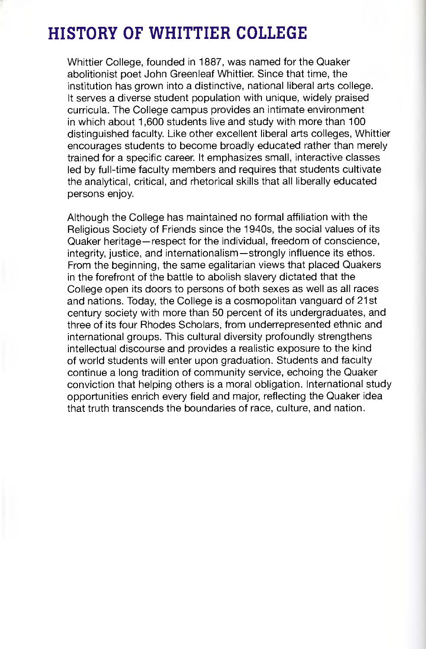## **HISTORY OF WHITTIER COLLEGE**

Whittier College, founded in 1887, was named for the Quaker abolitionist poet John Greenleaf Whittier. Since that time, the institution has grown into a distinctive, national liberal arts college. It serves a diverse student population with unique, widely praised curricula. The College campus provides an intimate environment in which about 1,600 students live and study with more than 100 distinguished faculty. Like other excellent liberal arts colleges, Whittier encourages students to become broadly educated rather than merely trained for a specific career. It emphasizes small, interactive classes led by full-time faculty members and requires that students cultivate the analytical, critical, and rhetorical skills that all liberally educated persons enjoy.

Although the College has maintained no formal affiliation with the Religious Society of Friends since the 1940s, the social values of its Quaker heritage—respect for the individual, freedom of conscience, integrity, justice, and internationalism—strongly influence its ethos. From the beginning, the same egalitarian views that placed Quakers in the forefront of the battle to abolish slavery dictated that the College open its doors to persons of both sexes as well as all races and nations. Today, the College is a cosmopolitan vanguard of 21St century society with more than 50 percent of its undergraduates, and three of its four Rhodes Scholars, from underrepresented ethnic and international groups. This cultural diversity profoundly strengthens intellectual discourse and provides a realistic exposure to the kind of world students will enter upon graduation. Students and faculty continue a long tradition of community service, echoing the Quaker conviction that helping others is a moral obligation. International study opportunities enrich every field and major, reflecting the Quaker idea that truth transcends the boundaries of race, culture, and nation.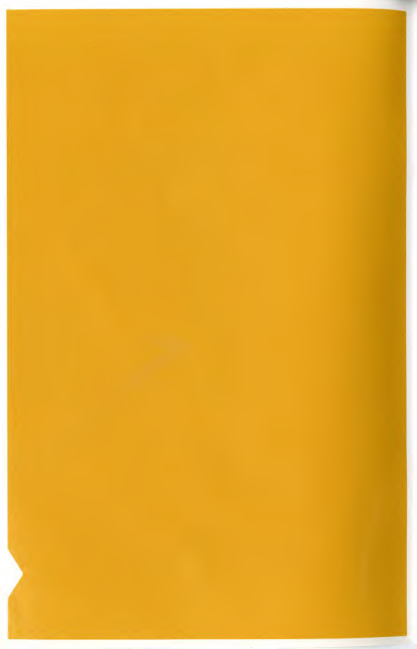